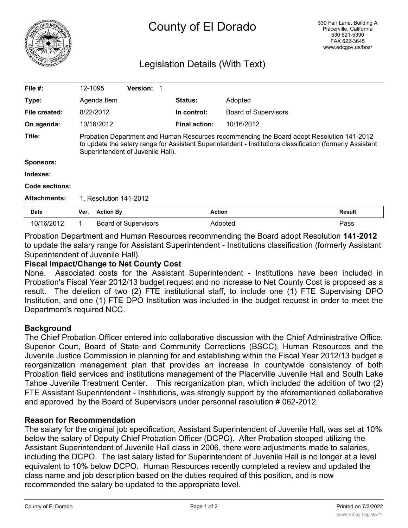

# County of El Dorado

# Legislation Details (With Text)

| File $#$ :          | 12-1095                                                                                                                                                                                                                                     |                  | <b>Version:</b>             |                      |                             |               |
|---------------------|---------------------------------------------------------------------------------------------------------------------------------------------------------------------------------------------------------------------------------------------|------------------|-----------------------------|----------------------|-----------------------------|---------------|
| Type:               |                                                                                                                                                                                                                                             | Agenda Item      |                             | <b>Status:</b>       | Adopted                     |               |
| File created:       |                                                                                                                                                                                                                                             | 8/22/2012        |                             | In control:          | <b>Board of Supervisors</b> |               |
| On agenda:          |                                                                                                                                                                                                                                             | 10/16/2012       |                             | <b>Final action:</b> | 10/16/2012                  |               |
| Title:              | Probation Department and Human Resources recommending the Board adopt Resolution 141-2012<br>to update the salary range for Assistant Superintendent - Institutions classification (formerly Assistant<br>Superintendent of Juvenile Hall). |                  |                             |                      |                             |               |
| <b>Sponsors:</b>    |                                                                                                                                                                                                                                             |                  |                             |                      |                             |               |
| Indexes:            |                                                                                                                                                                                                                                             |                  |                             |                      |                             |               |
| Code sections:      |                                                                                                                                                                                                                                             |                  |                             |                      |                             |               |
| <b>Attachments:</b> | 1. Resolution 141-2012                                                                                                                                                                                                                      |                  |                             |                      |                             |               |
| <b>Date</b>         | Ver.                                                                                                                                                                                                                                        | <b>Action By</b> |                             | <b>Action</b>        |                             | <b>Result</b> |
| 10/16/2012          | 1                                                                                                                                                                                                                                           |                  | <b>Board of Supervisors</b> |                      | Adopted                     | Pass          |

Probation Department and Human Resources recommending the Board adopt Resolution **141-2012** to update the salary range for Assistant Superintendent - Institutions classification (formerly Assistant Superintendent of Juvenile Hall).

## **Fiscal Impact/Change to Net County Cost**

None. Associated costs for the Assistant Superintendent - Institutions have been included in Probation's Fiscal Year 2012/13 budget request and no increase to Net County Cost is proposed as a result. The deletion of two (2) FTE institutional staff, to include one (1) FTE Supervising DPO Institution, and one (1) FTE DPO Institution was included in the budget request in order to meet the Department's required NCC.

#### **Background**

The Chief Probation Officer entered into collaborative discussion with the Chief Administrative Office, Superior Court, Board of State and Community Corrections (BSCC), Human Resources and the Juvenile Justice Commission in planning for and establishing within the Fiscal Year 2012/13 budget a reorganization management plan that provides an increase in countywide consistency of both Probation field services and institutions management of the Placerville Juvenile Hall and South Lake Tahoe Juvenile Treatment Center. This reorganization plan, which included the addition of two (2) FTE Assistant Superintendent - Institutions, was strongly support by the aforementioned collaborative and approved by the Board of Supervisors under personnel resolution # 062-2012.

#### **Reason for Recommendation**

The salary for the original job specification, Assistant Superintendent of Juvenile Hall, was set at 10% below the salary of Deputy Chief Probation Officer (DCPO). After Probation stopped utilizing the Assistant Superintendent of Juvenile Hall class in 2006, there were adjustments made to salaries, including the DCPO. The last salary listed for Superintendent of Juvenile Hall is no longer at a level equivalent to 10% below DCPO. Human Resources recently completed a review and updated the class name and job description based on the duties required of this position, and is now recommended the salary be updated to the appropriate level.